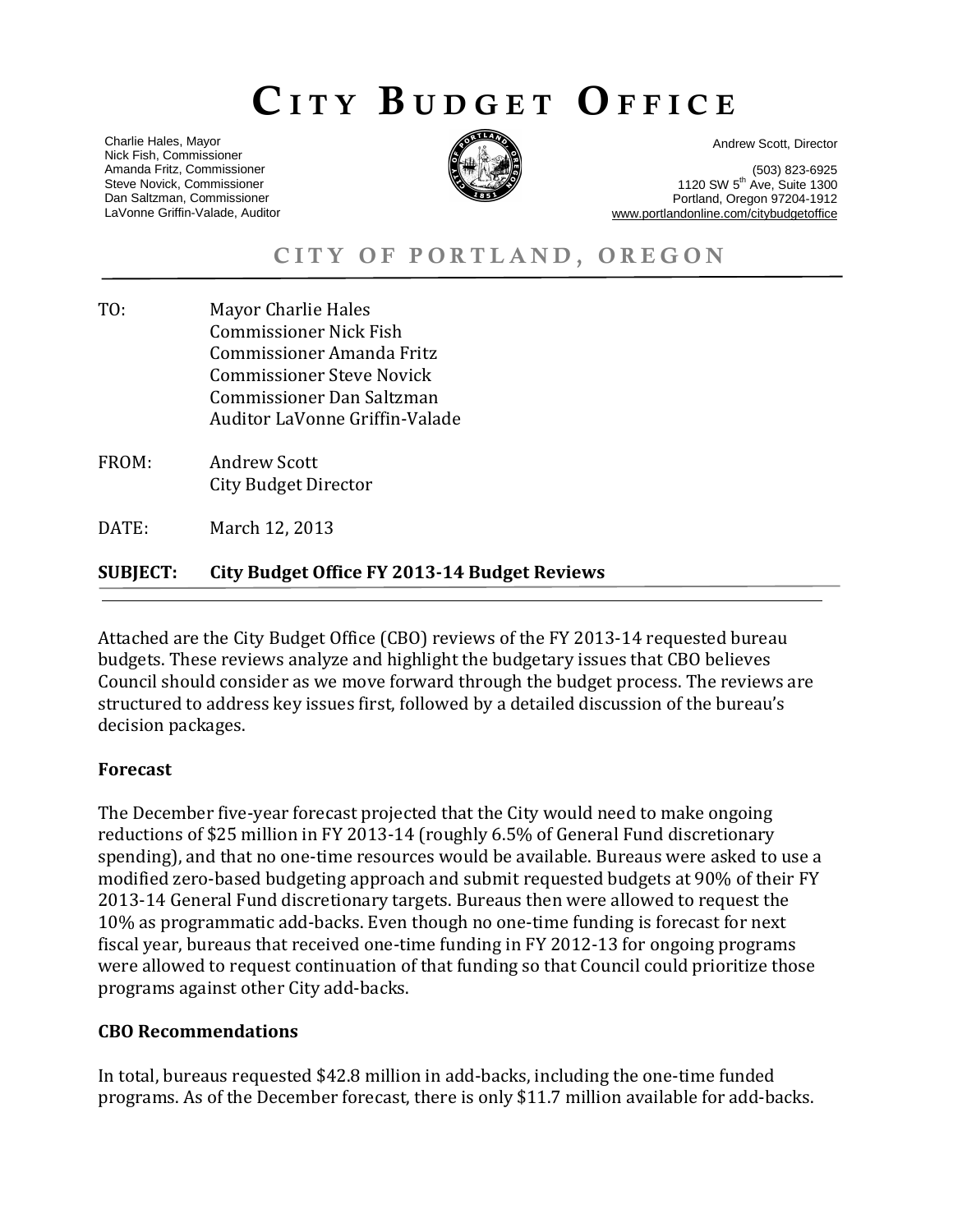# CITY BUDGET OFFICE

Charlie Hales, Mayor Nick Fish, Commissioner Amanda Fritz, Commissioner Steve Novick, Commissioner Dan Saltzman, Commissioner LaVonne Griffin-Valade, Auditor



Andrew Scott, Director

(503) 823-6925 1120 SW 5<sup>th</sup> Ave, Suite 1300 Portland, Oregon 97204-1912 www.portlandonline.com/citybudgetoffice

CITY OF PORTLAND, OREGON

- TO: Mayor Charlie Hales Commissioner Nick Fish Commissioner Amanda Fritz Commissioner Steve Novick Commissioner Dan Saltzman Auditor LaVonne Griffin-Valade
- FROM: Andrew Scott City Budget Director
- DATE: March 12, 2013

# **SUBJECT: City Budget Office FY 2013-14 Budget Reviews**

Attached are the City Budget Office (CBO) reviews of the FY 2013-14 requested bureau budgets. These reviews analyze and highlight the budgetary issues that CBO believes Council should consider as we move forward through the budget process. The reviews are structured to address key issues first, followed by a detailed discussion of the bureau's decision packages.

### **Forecast**

The December five-year forecast projected that the City would need to make ongoing reductions of \$25 million in FY 2013-14 (roughly 6.5% of General Fund discretionary spending), and that no one-time resources would be available. Bureaus were asked to use a modified zero-based budgeting approach and submit requested budgets at 90% of their FY 2013-14 General Fund discretionary targets. Bureaus then were allowed to request the 10% as programmatic add-backs. Even though no one-time funding is forecast for next fiscal year, bureaus that received one-time funding in FY 2012-13 for ongoing programs were allowed to request continuation of that funding so that Council could prioritize those programs against other City add-backs.

### **CBO Recommendations**

In total, bureaus requested \$42.8 million in add-backs, including the one-time funded programs. As of the December forecast, there is only \$11.7 million available for add-backs.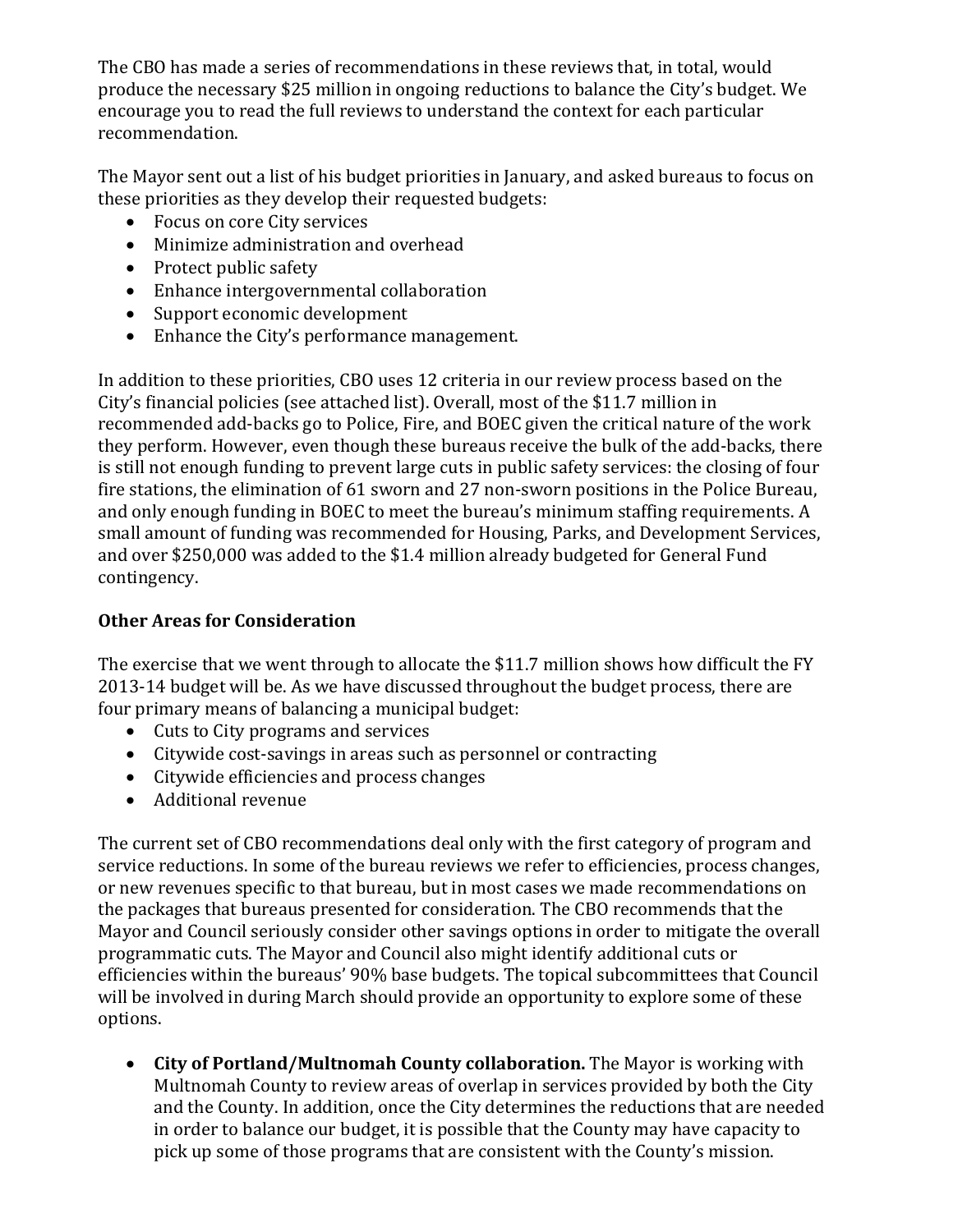The CBO has made a series of recommendations in these reviews that, in total, would produce the necessary \$25 million in ongoing reductions to balance the City's budget. We encourage you to read the full reviews to understand the context for each particular recommendation.

The Mayor sent out a list of his budget priorities in January, and asked bureaus to focus on these priorities as they develop their requested budgets:

- Focus on core City services
- Minimize administration and overhead
- Protect public safety
- Enhance intergovernmental collaboration
- Support economic development
- Enhance the City's performance management.

In addition to these priorities, CBO uses 12 criteria in our review process based on the City's financial policies (see attached list). Overall, most of the \$11.7 million in recommended add-backs go to Police, Fire, and BOEC given the critical nature of the work they perform. However, even though these bureaus receive the bulk of the add-backs, there is still not enough funding to prevent large cuts in public safety services: the closing of four fire stations, the elimination of 61 sworn and 27 non-sworn positions in the Police Bureau, and only enough funding in BOEC to meet the bureau's minimum staffing requirements. A small amount of funding was recommended for Housing, Parks, and Development Services, and over \$250,000 was added to the \$1.4 million already budgeted for General Fund contingency.

# **Other Areas for Consideration**

The exercise that we went through to allocate the \$11.7 million shows how difficult the FY 2013-14 budget will be. As we have discussed throughout the budget process, there are four primary means of balancing a municipal budget:

- Cuts to City programs and services
- Citywide cost-savings in areas such as personnel or contracting
- Citywide efficiencies and process changes
- Additional revenue

The current set of CBO recommendations deal only with the first category of program and service reductions. In some of the bureau reviews we refer to efficiencies, process changes, or new revenues specific to that bureau, but in most cases we made recommendations on the packages that bureaus presented for consideration. The CBO recommends that the Mayor and Council seriously consider other savings options in order to mitigate the overall programmatic cuts. The Mayor and Council also might identify additional cuts or efficiencies within the bureaus' 90% base budgets. The topical subcommittees that Council will be involved in during March should provide an opportunity to explore some of these options.

• **City of Portland/Multnomah County collaboration.** The Mayor is working with Multnomah County to review areas of overlap in services provided by both the City and the County. In addition, once the City determines the reductions that are needed in order to balance our budget, it is possible that the County may have capacity to pick up some of those programs that are consistent with the County's mission.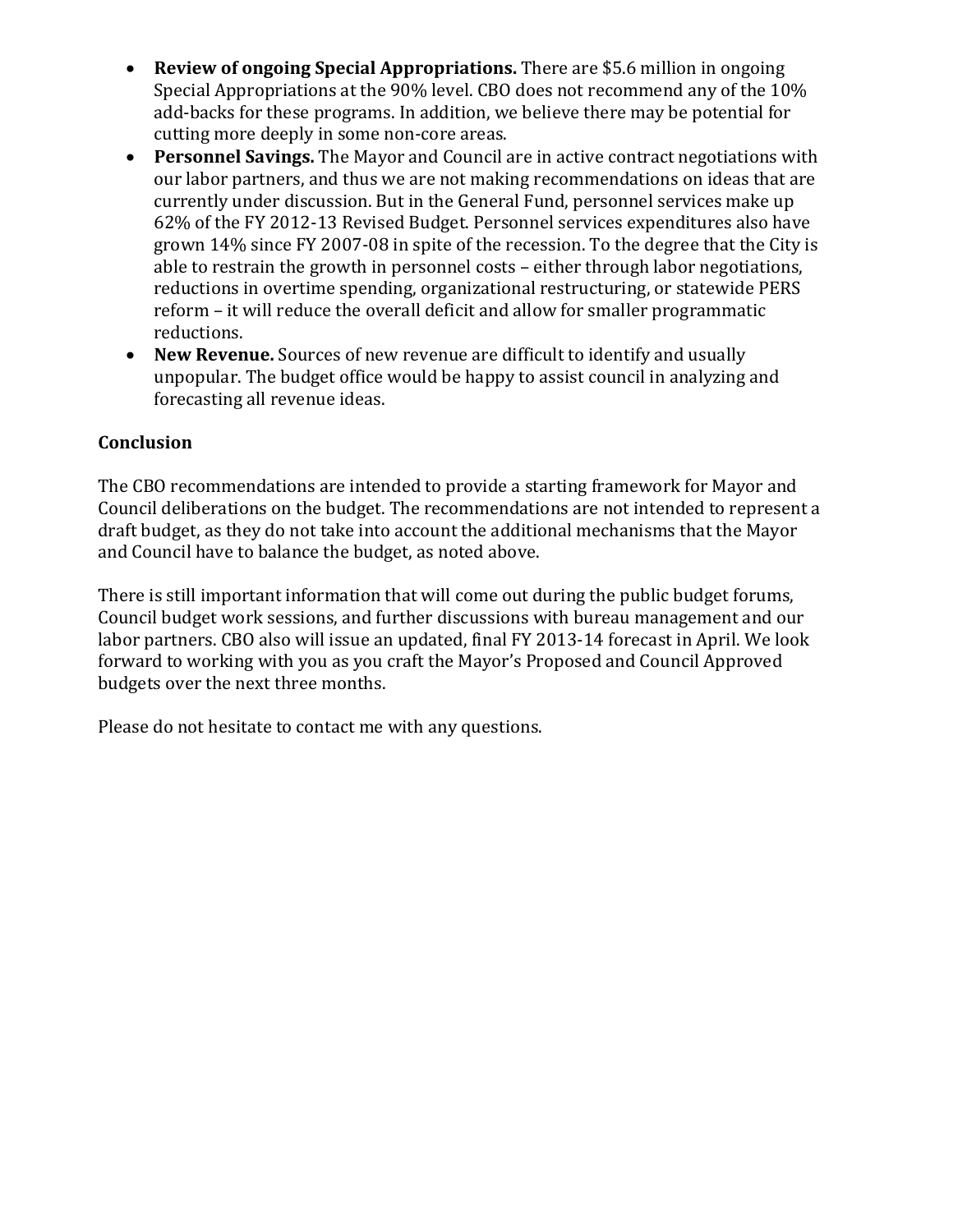- **Review of ongoing Special Appropriations.** There are \$5.6 million in ongoing Special Appropriations at the 90% level. CBO does not recommend any of the 10% add-backs for these programs. In addition, we believe there may be potential for cutting more deeply in some non-core areas.
- **Personnel Savings.** The Mayor and Council are in active contract negotiations with our labor partners, and thus we are not making recommendations on ideas that are currently under discussion. But in the General Fund, personnel services make up 62% of the FY 2012-13 Revised Budget. Personnel services expenditures also have grown 14% since FY 2007-08 in spite of the recession. To the degree that the City is able to restrain the growth in personnel costs – either through labor negotiations, reductions in overtime spending, organizational restructuring, or statewide PERS reform – it will reduce the overall deficit and allow for smaller programmatic reductions.
- **New Revenue.** Sources of new revenue are difficult to identify and usually unpopular. The budget office would be happy to assist council in analyzing and forecasting all revenue ideas.

# **Conclusion**

The CBO recommendations are intended to provide a starting framework for Mayor and Council deliberations on the budget. The recommendations are not intended to represent a draft budget, as they do not take into account the additional mechanisms that the Mayor and Council have to balance the budget, as noted above.

There is still important information that will come out during the public budget forums, Council budget work sessions, and further discussions with bureau management and our labor partners. CBO also will issue an updated, final FY 2013-14 forecast in April. We look forward to working with you as you craft the Mayor's Proposed and Council Approved budgets over the next three months.

Please do not hesitate to contact me with any questions.